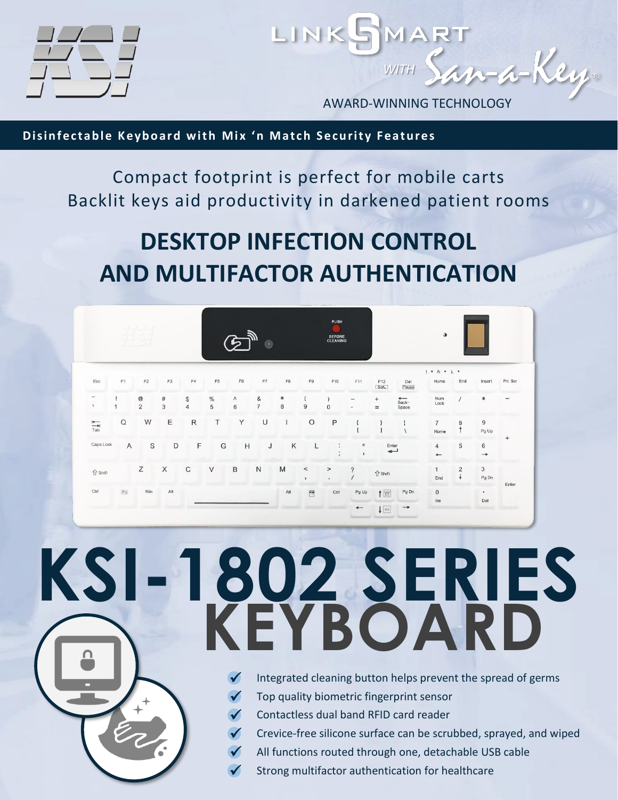

AWARD-WINNING TECHNOLOGY

an-a-Key.

*WITH*

LINKSMAR

**Disinfectable Keyboard with Mix 'n Match Security Features** 

Compact footprint is perfect for mobile carts Backlit keys aid productivity in darkened patient rooms

## **DESKTOP INFECTION CONTROL AND MULTIFACTOR AUTHENTICATION**

| $1 - 1 - 1$                            |                |                                 |           |                      | $\odot$        |              |                     |                       |                            | PUSH<br><b>BEFORE</b><br>CLEANING |                                                      |                                                                      |                                 | $\bullet$                                  |                     |                     |                               |
|----------------------------------------|----------------|---------------------------------|-----------|----------------------|----------------|--------------|---------------------|-----------------------|----------------------------|-----------------------------------|------------------------------------------------------|----------------------------------------------------------------------|---------------------------------|--------------------------------------------|---------------------|---------------------|-------------------------------|
| Esc                                    | F1             | F2                              | F3        | F4                   | F <sub>5</sub> | ${\sf F6}$   | F7                  | ${\sf F8}$            | $\mathsf{F}9$              | F10                               | F11                                                  | F12<br>ScrL                                                          | Del<br>Pause                    | $1$ * A * $\pm$ *<br>Home                  | End                 | Insert              | Prt Scr                       |
| $\widetilde{\phantom{m}}$<br>$\lambda$ | 1              | $^\copyright$<br>$\overline{2}$ | $\#$<br>3 | \$<br>$\overline{4}$ | $\%$<br>5      | Λ<br>$\,6\,$ | &<br>$\overline{7}$ | $\ast$<br>$\,$ 8 $\,$ | $\left($<br>$\overline{9}$ | $\lambda$<br>$\mathbf{0}$         | $\overline{\phantom{a}}$<br>$\overline{\phantom{0}}$ | $^{+}$<br>$=$                                                        | Back-<br>Space                  | Num<br>Lock                                |                     | $\ast$              | $\overbrace{\phantom{12332}}$ |
| $\frac{1}{\pi}$                        | $\Omega$       | W                               | E         | $\mathsf{R}$         | T              | Y            | U                   | T                     | $\circ$                    | P                                 | ί                                                    |                                                                      | $\frac{1}{2}$<br>$\overline{ }$ | $\overline{7}$<br>Home                     | 8                   | $9\,$<br>Pg Up      |                               |
| Caps Lock                              | $\overline{A}$ | S                               | D         | F                    | G              | H            | J                   | Κ                     | L                          | ÷<br>٠                            | $\mathbf{H}$                                         | $\overline{\phantom{a}}$                                             |                                 | $\overline{4}$<br>$\overline{\phantom{0}}$ | 5                   | 6<br>$\rightarrow$  | $^{+}$                        |
| <b>介</b> Shift                         |                | $\mathsf Z$                     | X         | C                    | V              | $\,$ B       | ${\sf N}$           | M                     | $\,<$<br>$\,$ $\,$         | $\, >$<br>$\cdot$                 | $\boldsymbol{\mathcal{P}}$                           | $\hat{U}$ Shift                                                      |                                 | End                                        | $\overline{2}$<br>÷ | $_{\rm 3}$<br>Pg Dn |                               |
| Ctrl                                   | [Fn]           | Win                             | Alt       |                      |                |              |                     | Alt                   | $\overline{\mathbb{Z}}$    | Ctrl                              | Pg Up<br>$\leftarrow$                                | $\uparrow$<br>Pg Dn<br>$\downarrow$ $\boxed{\circ}$<br>$\rightarrow$ |                                 | $\mathbf{0}$<br>ins                        | $\bullet$<br>Del    |                     | Enter                         |

# **KSI-1802 SERIES KEYBOARD**

- Integrated cleaning button helps prevent the spread of germs ✓
- Top quality biometric fingerprint sensor ✓
- Contactless dual band RFID card reader ✓
- Crevice-free silicone surface can be scrubbed, sprayed, and wiped ✓
- All functions routed through one, detachable USB cable ✓
- Strong multifactor authentication for healthcare ✓